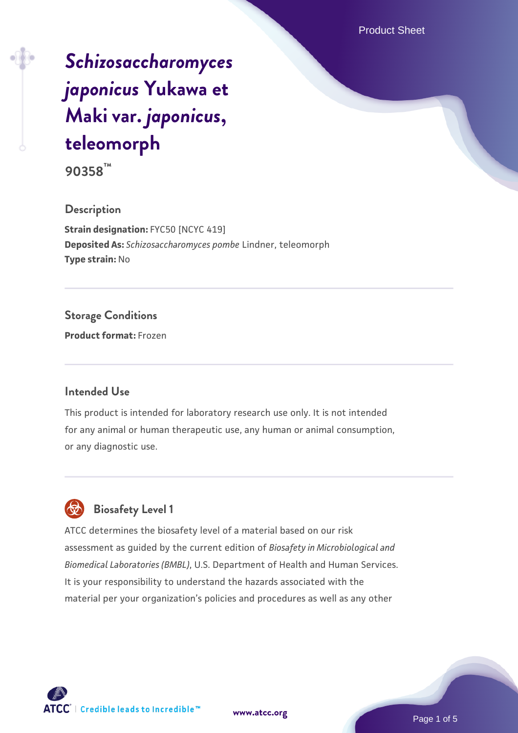# *[Schizosaccharomyces](https://www.atcc.org/products/90358) [japonicus](https://www.atcc.org/products/90358)* **[Yukawa et](https://www.atcc.org/products/90358) [Maki var.](https://www.atcc.org/products/90358)** *[japonicus](https://www.atcc.org/products/90358)***[,](https://www.atcc.org/products/90358) [teleomorph](https://www.atcc.org/products/90358)**

**90358™**

### **Description**

**Strain designation:** FYC50 [NCYC 419] **Deposited As:** *Schizosaccharomyces pombe* Lindner, teleomorph **Type strain:** No

### **Storage Conditions**

**Product format:** Frozen

### **Intended Use**

This product is intended for laboratory research use only. It is not intended for any animal or human therapeutic use, any human or animal consumption, or any diagnostic use.

### **Biosafety Level 1**

ATCC determines the biosafety level of a material based on our risk assessment as guided by the current edition of *Biosafety in Microbiological and Biomedical Laboratories (BMBL)*, U.S. Department of Health and Human Services. It is your responsibility to understand the hazards associated with the material per your organization's policies and procedures as well as any other

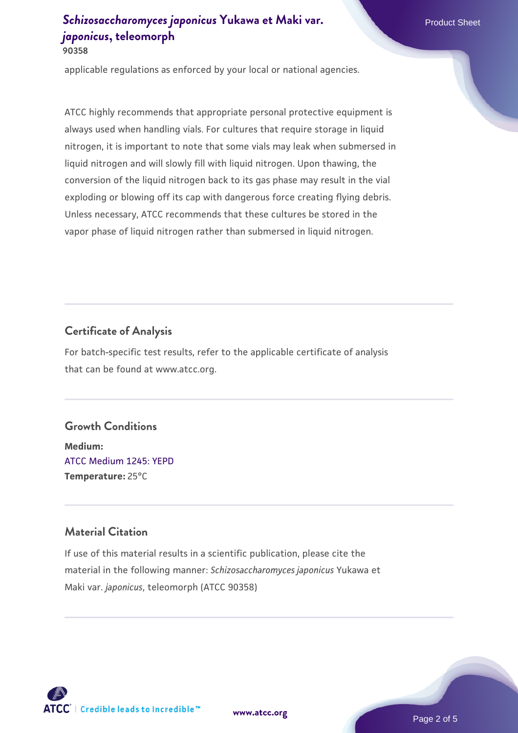applicable regulations as enforced by your local or national agencies.

ATCC highly recommends that appropriate personal protective equipment is always used when handling vials. For cultures that require storage in liquid nitrogen, it is important to note that some vials may leak when submersed in liquid nitrogen and will slowly fill with liquid nitrogen. Upon thawing, the conversion of the liquid nitrogen back to its gas phase may result in the vial exploding or blowing off its cap with dangerous force creating flying debris. Unless necessary, ATCC recommends that these cultures be stored in the vapor phase of liquid nitrogen rather than submersed in liquid nitrogen.

### **Certificate of Analysis**

For batch-specific test results, refer to the applicable certificate of analysis that can be found at www.atcc.org.

#### **Growth Conditions**

**Medium:**  [ATCC Medium 1245: YEPD](https://www.atcc.org/-/media/product-assets/documents/microbial-media-formulations/1/2/4/5/atcc-medium-1245.pdf?rev=705ca55d1b6f490a808a965d5c072196) **Temperature:** 25°C

### **Material Citation**

If use of this material results in a scientific publication, please cite the material in the following manner: *Schizosaccharomyces japonicus* Yukawa et Maki var. *japonicus*, teleomorph (ATCC 90358)



**[www.atcc.org](http://www.atcc.org)**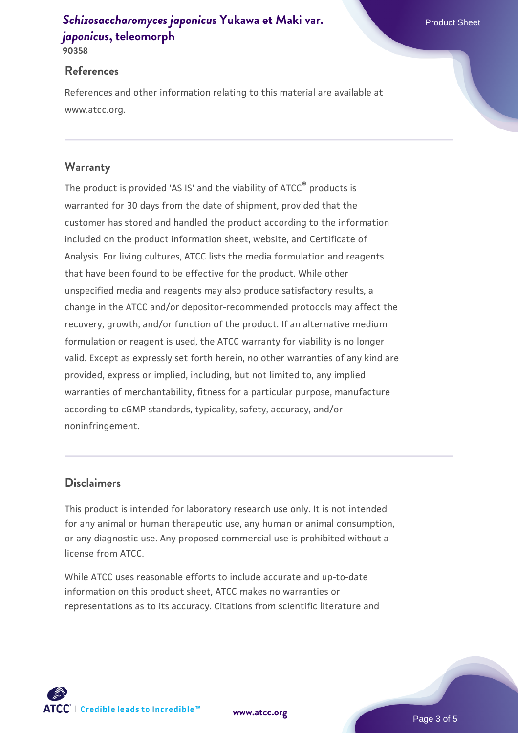**90358**

#### **References**

References and other information relating to this material are available at www.atcc.org.

### **Warranty**

The product is provided 'AS IS' and the viability of ATCC® products is warranted for 30 days from the date of shipment, provided that the customer has stored and handled the product according to the information included on the product information sheet, website, and Certificate of Analysis. For living cultures, ATCC lists the media formulation and reagents that have been found to be effective for the product. While other unspecified media and reagents may also produce satisfactory results, a change in the ATCC and/or depositor-recommended protocols may affect the recovery, growth, and/or function of the product. If an alternative medium formulation or reagent is used, the ATCC warranty for viability is no longer valid. Except as expressly set forth herein, no other warranties of any kind are provided, express or implied, including, but not limited to, any implied warranties of merchantability, fitness for a particular purpose, manufacture according to cGMP standards, typicality, safety, accuracy, and/or noninfringement.

### **Disclaimers**

This product is intended for laboratory research use only. It is not intended for any animal or human therapeutic use, any human or animal consumption, or any diagnostic use. Any proposed commercial use is prohibited without a license from ATCC.

While ATCC uses reasonable efforts to include accurate and up-to-date information on this product sheet, ATCC makes no warranties or representations as to its accuracy. Citations from scientific literature and

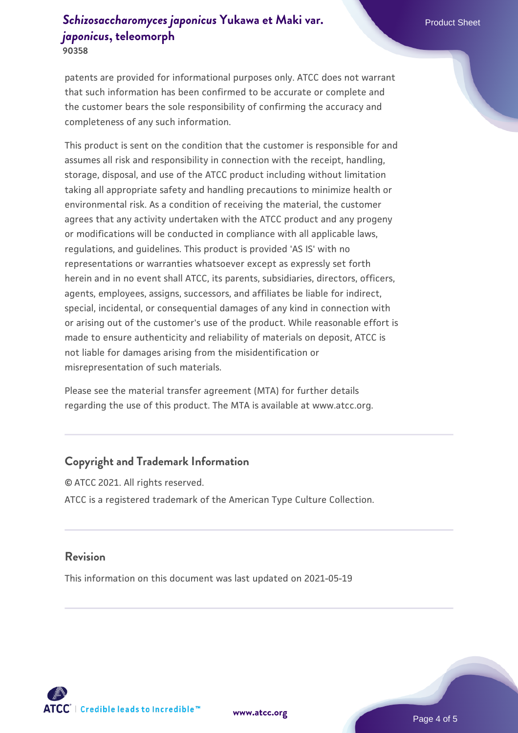**90358**

patents are provided for informational purposes only. ATCC does not warrant that such information has been confirmed to be accurate or complete and the customer bears the sole responsibility of confirming the accuracy and completeness of any such information.

This product is sent on the condition that the customer is responsible for and assumes all risk and responsibility in connection with the receipt, handling, storage, disposal, and use of the ATCC product including without limitation taking all appropriate safety and handling precautions to minimize health or environmental risk. As a condition of receiving the material, the customer agrees that any activity undertaken with the ATCC product and any progeny or modifications will be conducted in compliance with all applicable laws, regulations, and guidelines. This product is provided 'AS IS' with no representations or warranties whatsoever except as expressly set forth herein and in no event shall ATCC, its parents, subsidiaries, directors, officers, agents, employees, assigns, successors, and affiliates be liable for indirect, special, incidental, or consequential damages of any kind in connection with or arising out of the customer's use of the product. While reasonable effort is made to ensure authenticity and reliability of materials on deposit, ATCC is not liable for damages arising from the misidentification or misrepresentation of such materials.

Please see the material transfer agreement (MTA) for further details regarding the use of this product. The MTA is available at www.atcc.org.

### **Copyright and Trademark Information**

© ATCC 2021. All rights reserved. ATCC is a registered trademark of the American Type Culture Collection.

### **Revision**

This information on this document was last updated on 2021-05-19



**[www.atcc.org](http://www.atcc.org)**

Page 4 of 5